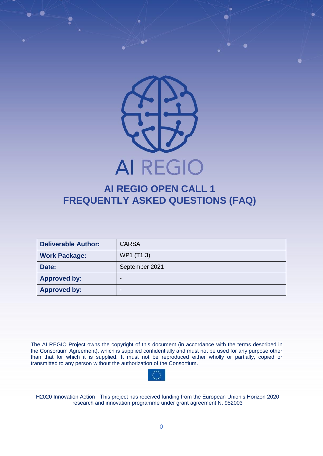

# **AI REGIO OPEN CALL 1 FREQUENTLY ASKED QUESTIONS (FAQ)**

| <b>Deliverable Author:</b> | <b>CARSA</b>   |  |
|----------------------------|----------------|--|
| <b>Work Package:</b>       | WP1 (T1.3)     |  |
| Date:                      | September 2021 |  |
| <b>Approved by:</b>        | -              |  |
| <b>Approved by:</b>        | -              |  |

The AI REGIO Project owns the copyright of this document (in accordance with the terms described in the Consortium Agreement), which is supplied confidentially and must not be used for any purpose other than that for which it is supplied. It must not be reproduced either wholly or partially, copied or transmitted to any person without the authorization of the Consortium.

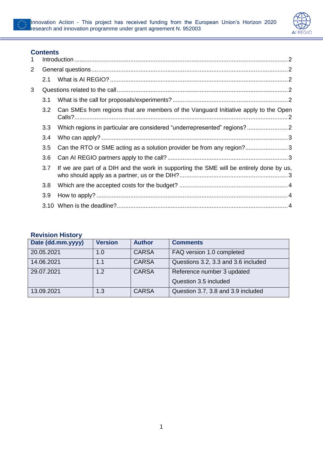



### **Contents**

| 1              |     |                                                                                         |  |  |  |
|----------------|-----|-----------------------------------------------------------------------------------------|--|--|--|
| $\overline{2}$ |     |                                                                                         |  |  |  |
|                | 2.1 |                                                                                         |  |  |  |
| 3              |     |                                                                                         |  |  |  |
|                | 3.1 |                                                                                         |  |  |  |
|                | 3.2 | Can SMEs from regions that are members of the Vanguard Initiative apply to the Open     |  |  |  |
|                | 3.3 | Which regions in particular are considered "underrepresented" regions?                  |  |  |  |
|                | 3.4 |                                                                                         |  |  |  |
|                | 3.5 | Can the RTO or SME acting as a solution provider be from any region?3                   |  |  |  |
|                | 3.6 |                                                                                         |  |  |  |
|                | 3.7 | If we are part of a DIH and the work in supporting the SME will be entirely done by us, |  |  |  |
|                | 3.8 |                                                                                         |  |  |  |
|                | 3.9 |                                                                                         |  |  |  |
|                |     |                                                                                         |  |  |  |

#### **Revision History**

| Date (dd.mm.yyyy) | <b>Version</b> | <b>Author</b> | <b>Comments</b>                     |
|-------------------|----------------|---------------|-------------------------------------|
| 20.05.2021        | 1.0            | <b>CARSA</b>  | FAQ version 1.0 completed           |
| 14.06.2021        | 1.1            | <b>CARSA</b>  | Questions 3.2, 3.3 and 3.6 included |
| 29.07.2021        | 1.2            | <b>CARSA</b>  | Reference number 3 updated          |
|                   |                |               | Question 3.5 included               |
| 13.09.2021        | 1.3            | <b>CARSA</b>  | Question 3.7, 3.8 and 3.9 included  |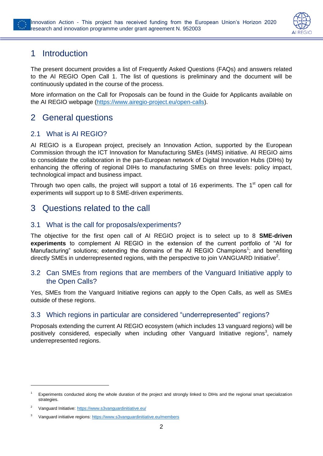

# <span id="page-2-0"></span>1 Introduction

The present document provides a list of Frequently Asked Questions (FAQs) and answers related to the AI REGIO Open Call 1. The list of questions is preliminary and the document will be continuously updated in the course of the process.

More information on the Call for Proposals can be found in the Guide for Applicants available on the AI REGIO webpage [\(https://www.airegio-project.eu/open-calls\)](https://www.airegio-project.eu/open-calls).

# <span id="page-2-1"></span>2 General questions

## <span id="page-2-2"></span>2.1 What is AI REGIO?

AI REGIO is a European project, precisely an Innovation Action, supported by the European Commission through the ICT Innovation for Manufacturing SMEs (I4MS) initiative. AI REGIO aims to consolidate the collaboration in the pan-European network of Digital Innovation Hubs (DIHs) by enhancing the offering of regional DIHs to manufacturing SMEs on three levels: policy impact, technological impact and business impact.

Through two open calls, the project will support a total of 16 experiments. The  $1<sup>st</sup>$  open call for experiments will support up to 8 SME-driven experiments.

# <span id="page-2-3"></span>3 Questions related to the call

#### <span id="page-2-4"></span>3.1 What is the call for proposals/experiments?

The objective for the first open call of AI REGIO project is to select up to 8 **SME-driven experiments** to complement AI REGIO in the extension of the current portfolio of "AI for Manufacturing" solutions; extending the domains of the AI REGIO Champions<sup>1</sup>; and benefiting directly SMEs in underrepresented regions, with the perspective to join VANGUARD Initiative<sup>2</sup>.

#### <span id="page-2-5"></span>3.2 Can SMEs from regions that are members of the Vanguard Initiative apply to the Open Calls?

Yes, SMEs from the Vanguard Initiative regions can apply to the Open Calls, as well as SMEs outside of these regions.

#### <span id="page-2-6"></span>3.3 Which regions in particular are considered "underrepresented" regions?

Proposals extending the current AI REGIO ecosystem (which includes 13 vanguard regions) will be positively considered, especially when including other Vanguard Initiative regions<sup>3</sup>, namely underrepresented regions.

-

<sup>1</sup> Experiments conducted along the whole duration of the project and strongly linked to DIHs and the regional smart specialization strategies.

<sup>2</sup>Vanguard Initiative: <https://www.s3vanguardinitiative.eu/>

Vanguard initiative regions[: https://www.s3vanguardinitiative.eu/members](https://www.s3vanguardinitiative.eu/members)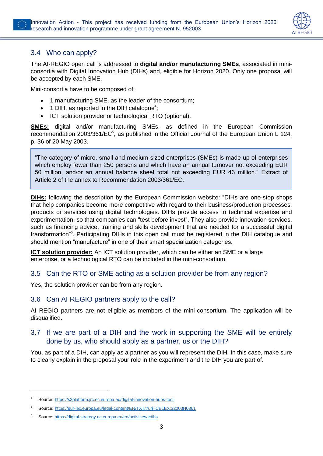

# <span id="page-3-0"></span>3.4 Who can apply?

The AI-REGIO open call is addressed to **digital and/or manufacturing SMEs**, associated in miniconsortia with Digital Innovation Hub (DIHs) and, eligible for Horizon 2020. Only one proposal will be accepted by each SME.

Mini-consortia have to be composed of:

- 1 manufacturing SME, as the leader of the consortium;
- 1 DIH, as reported in the DIH catalogue<sup>4</sup>;
- ICT solution provider or technological RTO (optional).

**SMEs:** digital and/or manufacturing SMEs, as defined in the European Commission recommendation 2003/361/ $EC^5$ , as published in the Official Journal of the European Union L 124, p. 36 of 20 May 2003.

"The category of micro, small and medium-sized enterprises (SMEs) is made up of enterprises which employ fewer than 250 persons and which have an annual turnover not exceeding EUR 50 million, and/or an annual balance sheet total not exceeding EUR 43 million." Extract of Article 2 of the annex to Recommendation 2003/361/EC.

**DIHs:** following the description by the European Commission website: "DIHs are one-stop shops that help companies become more competitive with regard to their business/production processes, products or services using digital technologies. DIHs provide access to technical expertise and experimentation, so that companies can "test before invest". They also provide innovation services, such as financing advice, training and skills development that are needed for a successful digital transformation"<sup>6</sup>. Participating DIHs in this open call must be registered in the DIH catalogue and should mention "manufacture" in one of their smart specialization categories.

**ICT solution provider:** An ICT solution provider, which can be either an SME or a large enterprise, or a technological RTO can be included in the mini-consortium.

#### <span id="page-3-1"></span>3.5 Can the RTO or SME acting as a solution provider be from any region?

Yes, the solution provider can be from any region.

#### <span id="page-3-2"></span>3.6 Can AI REGIO partners apply to the call?

AI REGIO partners are not eligible as members of the mini-consortium. The application will be disqualified.

### <span id="page-3-3"></span>3.7 If we are part of a DIH and the work in supporting the SME will be entirely done by us, who should apply as a partner, us or the DIH?

You, as part of a DIH, can apply as a partner as you will represent the DIH. In this case, make sure to clearly explain in the proposal your role in the experiment and the DIH you are part of.

-

Source: <https://s3platform.jrc.ec.europa.eu/digital-innovation-hubs-tool>

<sup>5</sup> Source: <https://eur-lex.europa.eu/legal-content/EN/TXT/?uri=CELEX:32003H0361>

Source[: https://digital-strategy.ec.europa.eu/en/activities/edihs](https://digital-strategy.ec.europa.eu/en/activities/edihs)